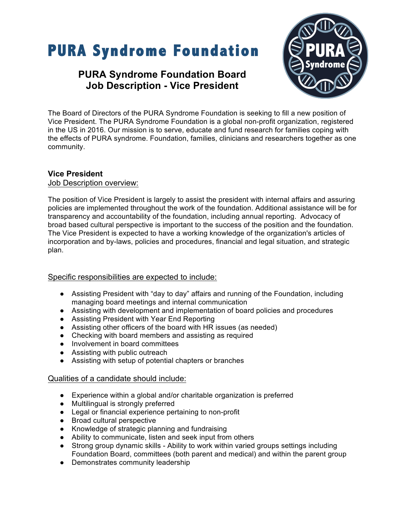# **PURA Syndrome Foundation**

## **PURA Syndrome Foundation Board Job Description - Vice President**



The Board of Directors of the PURA Syndrome Foundation is seeking to fill a new position of Vice President. The PURA Syndrome Foundation is a global non-profit organization, registered in the US in 2016. Our mission is to serve, educate and fund research for families coping with the effects of PURA syndrome. Foundation, families, clinicians and researchers together as one community.

### **Vice President**

#### Job Description overview:

The position of Vice President is largely to assist the president with internal affairs and assuring policies are implemented throughout the work of the foundation. Additional assistance will be for transparency and accountability of the foundation, including annual reporting. Advocacy of broad based cultural perspective is important to the success of the position and the foundation. The Vice President is expected to have a working knowledge of the organization's articles of incorporation and by-laws, policies and procedures, financial and legal situation, and strategic plan.

#### Specific responsibilities are expected to include:

- Assisting President with "day to day" affairs and running of the Foundation, including managing board meetings and internal communication
- Assisting with development and implementation of board policies and procedures
- Assisting President with Year End Reporting
- Assisting other officers of the board with HR issues (as needed)
- Checking with board members and assisting as required
- Involvement in board committees
- Assisting with public outreach
- Assisting with setup of potential chapters or branches

#### Qualities of a candidate should include:

- Experience within a global and/or charitable organization is preferred
- Multilingual is strongly preferred
- Legal or financial experience pertaining to non-profit
- Broad cultural perspective
- Knowledge of strategic planning and fundraising
- Ability to communicate, listen and seek input from others
- Strong group dynamic skills Ability to work within varied groups settings including Foundation Board, committees (both parent and medical) and within the parent group
- Demonstrates community leadership